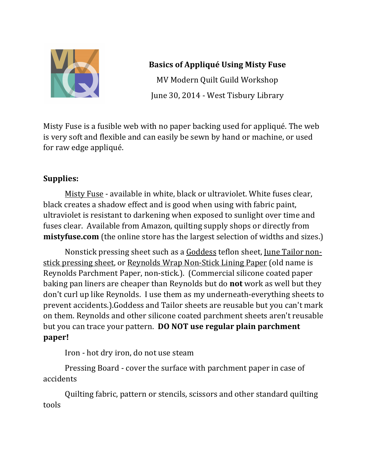

# **Basics of Appliqué Using Misty Fuse** MV Modern Quilt Guild Workshop June 30, 2014 - West Tisbury Library

Misty Fuse is a fusible web with no paper backing used for appliqué. The web is very soft and flexible and can easily be sewn by hand or machine, or used for raw edge appliqué.

# **Supplies:**

Misty Fuse - available in white, black or ultraviolet. White fuses clear, black creates a shadow effect and is good when using with fabric paint, ultraviolet is resistant to darkening when exposed to sunlight over time and fuses clear. Available from Amazon, quilting supply shops or directly from **mistyfuse.com** (the online store has the largest selection of widths and sizes.)

Nonstick pressing sheet such as a Goddess teflon sheet, June Tailor nonstick pressing sheet, or Reynolds Wrap Non-Stick Lining Paper (old name is Reynolds Parchment Paper, non-stick.). (Commercial silicone coated paper baking pan liners are cheaper than Reynolds but do **not** work as well but they don't curl up like Reynolds. I use them as my underneath-everything sheets to prevent accidents.).Goddess and Tailor sheets are reusable but you can't mark on them. Reynolds and other silicone coated parchment sheets aren't reusable but you can trace your pattern. **DO NOT use regular plain parchment paper!**

Iron - hot dry iron, do not use steam

Pressing Board - cover the surface with parchment paper in case of accidents

Quilting fabric, pattern or stencils, scissors and other standard quilting tools